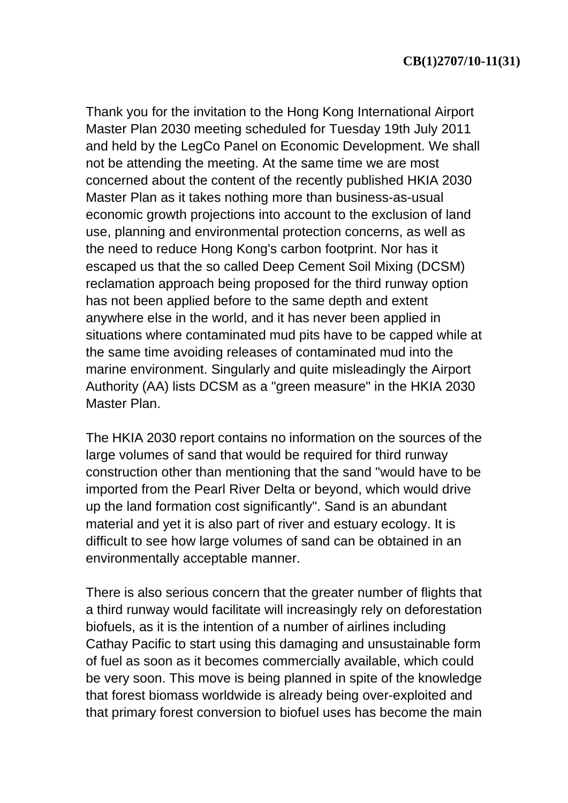Thank you for the invitation to the Hong Kong International Airport Master Plan 2030 meeting scheduled for Tuesday 19th July 2011 and held by the LegCo Panel on Economic Development. We shall not be attending the meeting. At the same time we are most concerned about the content of the recently published HKIA 2030 Master Plan as it takes nothing more than business-as-usual economic growth projections into account to the exclusion of land use, planning and environmental protection concerns, as well as the need to reduce Hong Kong's carbon footprint. Nor has it escaped us that the so called Deep Cement Soil Mixing (DCSM) reclamation approach being proposed for the third runway option has not been applied before to the same depth and extent anywhere else in the world, and it has never been applied in situations where contaminated mud pits have to be capped while at the same time avoiding releases of contaminated mud into the marine environment. Singularly and quite misleadingly the Airport Authority (AA) lists DCSM as a "green measure" in the HKIA 2030 Master Plan.

The HKIA 2030 report contains no information on the sources of the large volumes of sand that would be required for third runway construction other than mentioning that the sand "would have to be imported from the Pearl River Delta or beyond, which would drive up the land formation cost significantly". Sand is an abundant material and yet it is also part of river and estuary ecology. It is difficult to see how large volumes of sand can be obtained in an environmentally acceptable manner.

There is also serious concern that the greater number of flights that a third runway would facilitate will increasingly rely on deforestation biofuels, as it is the intention of a number of airlines including Cathay Pacific to start using this damaging and unsustainable form of fuel as soon as it becomes commercially available, which could be very soon. This move is being planned in spite of the knowledge that forest biomass worldwide is already being over-exploited and that primary forest conversion to biofuel uses has become the main